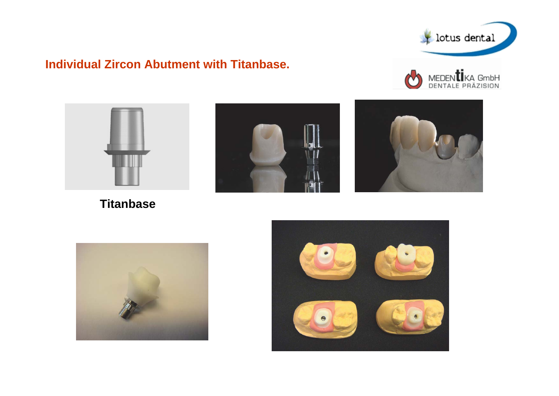

## **Individual Zircon Abutment with Titanbase.**





**Titanbase**







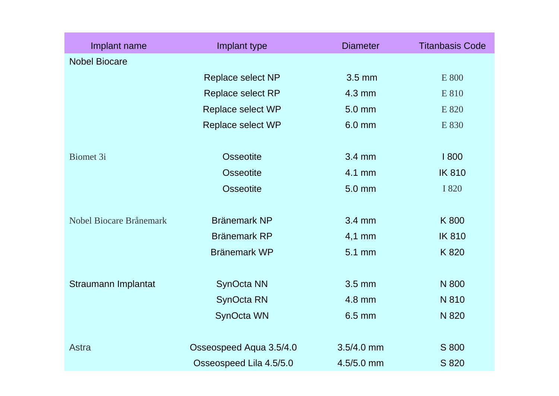| Implant name            | Implant type            | <b>Diameter</b> | <b>Titanbasis Code</b> |
|-------------------------|-------------------------|-----------------|------------------------|
| <b>Nobel Biocare</b>    |                         |                 |                        |
|                         | Replace select NP       | $3.5$ mm        | E 800                  |
|                         | Replace select RP       | 4.3 mm          | E 810                  |
|                         | Replace select WP       | 5.0 mm          | E 820                  |
|                         | Replace select WP       | 6.0 mm          | E 830                  |
|                         |                         |                 |                        |
| <b>Biomet 3i</b>        | <b>Osseotite</b>        | 3.4 mm          | 1800                   |
|                         | <b>Osseotite</b>        | 4.1 mm          | <b>IK810</b>           |
|                         | <b>Osseotite</b>        | 5.0 mm          | I 820                  |
|                         |                         |                 |                        |
| Nobel Biocare Brånemark | <b>Bränemark NP</b>     | 3.4 mm          | K 800                  |
|                         | <b>Bränemark RP</b>     | $4,1$ mm        | <b>IK810</b>           |
|                         | <b>Bränemark WP</b>     | 5.1 mm          | K820                   |
|                         |                         |                 |                        |
| Straumann Implantat     | SynOcta NN              | 3.5 mm          | N 800                  |
|                         | SynOcta RN              | 4.8 mm          | N 810                  |
|                         | SynOcta WN              | 6.5 mm          | N 820                  |
|                         |                         |                 |                        |
| <b>Astra</b>            | Osseospeed Aqua 3.5/4.0 | $3.5/4.0$ mm    | S 800                  |
|                         | Osseospeed Lila 4.5/5.0 | 4.5/5.0 mm      | S 820                  |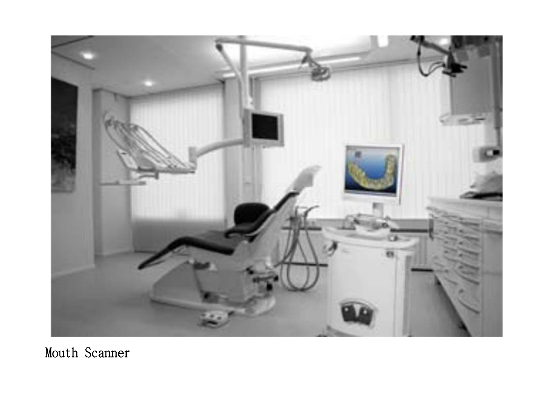

## Mouth Scanner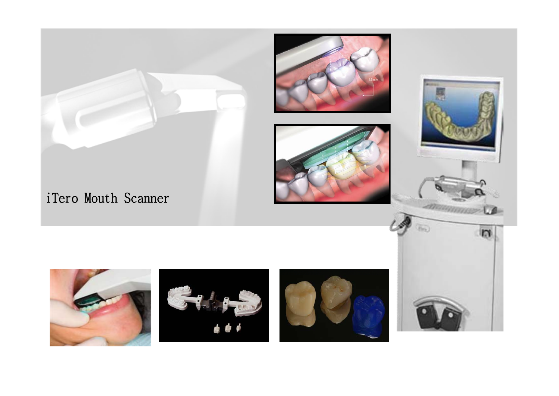





## iTero Mouth Scanner





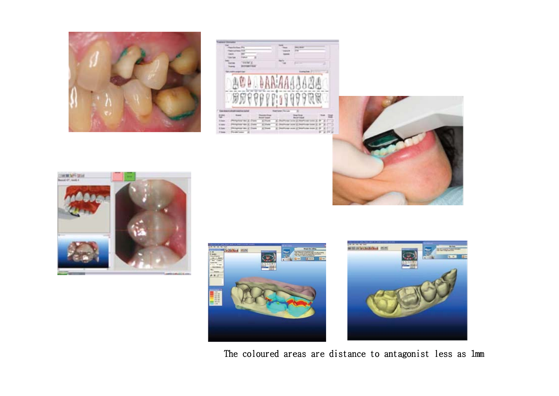

|                   | --                |
|-------------------|-------------------|
|                   |                   |
|                   | <b>BRIAA</b>      |
|                   | <b>REITY</b><br>w |
| <b>STATISTICS</b> | ÷<br>. .          |









The coloured areas are distance to antagonist less as 1mm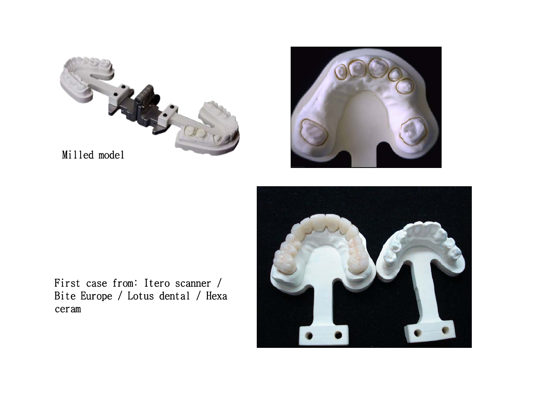



First case from: Itero scanner / Bite Europe / Lotus dental / Hexa ceram

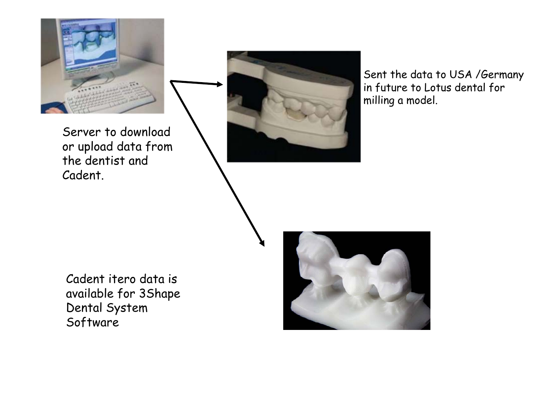

Server to download or upload data from the dentist and Cadent.



Sent the data to USA /German in future to Lotus dental for milling a model.

Cadent itero data is available for 3Shape Dental System Software